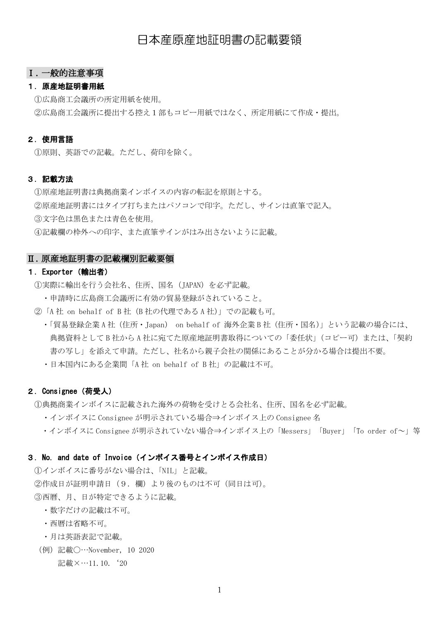# 日本産原産地証明書の記載要領

## Ⅰ.一般的注意事項

## 1.原産地証明書用紙

①広島商工会議所の所定用紙を使用。

②広島商工会議所に提出する控え1部もコピー用紙ではなく、所定用紙にて作成・提出。

#### 2.使用言語

①原則、英語での記載。ただし、荷印を除く。

## 3.記載方法

①原産地証明書は典拠商業インボイスの内容の転記を原則とする。 ②原産地証明書にはタイプ打ちまたはパソコンで印字。ただし、サインは直筆で記入。 ③文字色は黒色または青色を使用。 ④記載欄の枠外への印字、また直筆サインがはみ出さないように記載。

#### Ⅱ.原産地証明書の記載欄別記載要領

### 1.Exporter(輸出者)

①実際に輸出を行う会社名、住所、国名(JAPAN)を必ず記載。

- ・申請時に広島商工会議所に有効の貿易登録がされていること。
- ②「A 社 on behalf of B 社(B 社の代理である A 社)」での記載も可。
	- ・「貿易登録企業 A 社(住所・Japan) on behalf of 海外企業 B 社(住所・国名)」という記載の場合には、 典拠資料として B 社から A 社に宛てた原産地証明書取得についての「委任状」(コピー可)または、「契約 書の写し」を添えて申請。ただし、社名から親子会社の関係にあることが分かる場合は提出不要。
	- ・日本国内にある企業間「A 社 on behalf of B 社」の記載は不可。

## 2.Consignee(荷受人)

①典拠商業インボイスに記載された海外の荷物を受けとる会社名、住所、国名を必ず記載。

- ・インボイスに Consignee が明示されている場合⇒インボイス上の Consignee 名
- ・インボイスに Consignee が明示されていない場合⇒インボイス上の「Messers」「Buyer」「To order of~」等

## 3. No. and date of Invoice (インボイス番号とインボイス作成日)

①インボイスに番号がない場合は、「NIL」と記載。 ②作成日が証明申請日(9.欄)より後のものは不可(同日は可)。 ③西暦、月、日が特定できるように記載。

- ・数字だけの記載は不可。
- ・西暦は省略不可。
- ・月は英語表記で記載。
- (例)記載〇…November, 10 2020

```
記載×…11.10. '20
```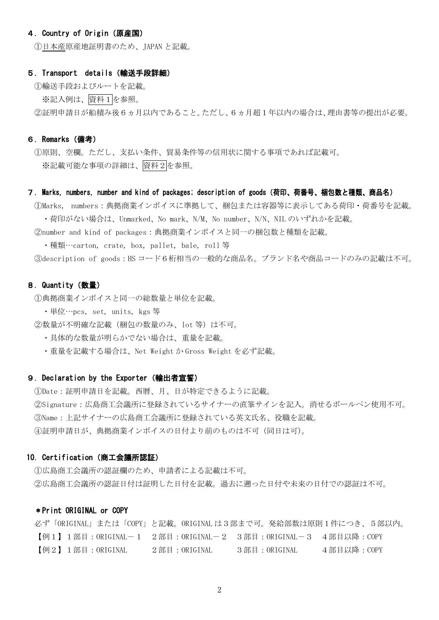## 4.Country of Origin(原産国)

①日本産原産地証明書のため、JAPAN と記載。

#### 5.Transport details(輸送手段詳細)

①輸送手段およびルートを記載。

※記入例は、資料1を参照。

②証明申請日が船積み後6ヵ月以内であること。ただし、6ヵ月超1年以内の場合は、理由書等の提出が必要。

#### 6.Remarks(備考)

①原則、空欄。ただし、支払い条件、貿易条件等の信用状に関する事項であれば記載可。 ※記載可能な事項の詳細は、資料2を参照。

#### 7.Marks, numbers, number and kind of packages; description of goods(荷印、荷番号、梱包数と種類、商品名)

①Marks, numbers:典拠商業インボイスに準拠して、梱包または容器等に表示してある荷印・荷番号を記載。 ・荷印がない場合は、Unmarked、No mark、N/M、No number、N/N、NIL のいずれかを記載。

②number and kind of packages:典拠商業インボイスと同一の梱包数と種類を記載。

・種類…carton, crate, box, pallet, bale, roll 等

③description of goods:HS コード6桁相当の一般的な商品名。ブランド名や商品コードのみの記載は不可。

#### 8. Quantity (数量)

①典拠商業インボイスと同一の総数量と単位を記載。

- ・単位…pcs, set, units, kgs 等
- ②数量が不明確な記載(梱包の数量のみ、lot 等)は不可。
	- ・具体的な数量が明らかでない場合は、重量を記載。
	- ・重量を記載する場合は、Net Weight か Gross Weight を必ず記載。

#### 9.Declaration by the Exporter(輸出者宣誓)

Date:証明申請日を記載。西暦、月、日が特定できるように記載。 Signature:広島商工会議所に登録されているサイナーの直筆サインを記入。消せるボールペン使用不可。 Name:上記サイナーの広島商工会議所に登録されている英文氏名、役職を記載。 ④証明申請日が、典拠商業インボイスの日付より前のものは不可(同日は可)。

#### 10. Certification (商工会議所認証)

①広島商工会議所の認証欄のため、申請者による記載は不可。 ②広島商工会議所の認証日付は証明した日付を記載。過去に遡った日付や未来の日付での認証は不可。

#### \*Print ORIGINAL or COPY

必ず「ORIGINAL」または「COPY」と記載。ORIGINAL は3部まで可。発給部数は原則1件につき、5部以内。 【例1】1部目:ORIGINAL-1 2部目:ORIGINAL-2 3部目:ORIGINAL-3 4部目以降:COPY 【例2】1部目:ORIGINAL 2部目:ORIGINAL 3部目:ORIGINAL 4部目以降:COPY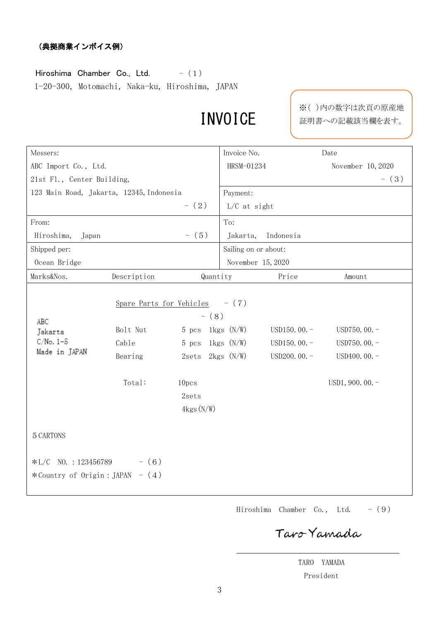## (典拠商業インボイス例)

Hiroshima Chamber Co., Ltd.  $-$  (1) 1-20-300, Motomachi, Naka-ku, Hiroshima, JAPAN

# INVOICE

※( )内の数字は次頁の原産地 証明書への記載該当欄を表す。

| Messers:                                           |                                                                            |                                                                                                         | Invoice No.                                      |                                                    | Date                                                                    |
|----------------------------------------------------|----------------------------------------------------------------------------|---------------------------------------------------------------------------------------------------------|--------------------------------------------------|----------------------------------------------------|-------------------------------------------------------------------------|
| ABC Import Co., Ltd.                               |                                                                            |                                                                                                         | HRSM-01234                                       |                                                    | November 10, 2020                                                       |
| 21st Fl., Center Building,                         |                                                                            |                                                                                                         |                                                  |                                                    | $-$ (3)                                                                 |
| 123 Main Road, Jakarta, 12345, Indonesia           |                                                                            |                                                                                                         | Payment:                                         |                                                    |                                                                         |
|                                                    |                                                                            | $- (2)$                                                                                                 | L/C at sight                                     |                                                    |                                                                         |
| From:                                              |                                                                            |                                                                                                         | To:                                              |                                                    |                                                                         |
| Hiroshima,<br>Japan                                |                                                                            | $- (5)$                                                                                                 | Jakarta,                                         | Indonesia                                          |                                                                         |
| Shipped per:                                       |                                                                            |                                                                                                         | Sailing on or about:                             |                                                    |                                                                         |
| Ocean Bridge                                       |                                                                            |                                                                                                         | November 15, 2020                                |                                                    |                                                                         |
| Marks&Nos.                                         | Description                                                                | Quantity                                                                                                |                                                  | Price                                              | Amount                                                                  |
| ABC<br>Jakarta<br>$C/No. 1-5$<br>Made in JAPAN     | Spare Parts for Vehicles $- (7)$<br>Bolt Nut<br>Cable<br>Bearing<br>Total: | $- (8)$<br>$5$ pcs<br>$5$ pcs<br>2sets 2kgs (N/W)<br>10 <sub>pcs</sub><br>2sets<br>$4 \text{kgs}$ (N/W) | $1 \text{kgs}$ $(N/W)$<br>$1 \text{kgs}$ $(N/W)$ | USD $150.00 -$<br>USD150.00. $-$<br>USD200.00. $-$ | USD750.00. $-$<br>USD750.00. $-$<br>USD400.00. $-$<br>$USD1, 900.00. -$ |
| 5 CARTONS                                          |                                                                            |                                                                                                         |                                                  |                                                    |                                                                         |
| $*L/C$ NO.: 123456789<br>*Country of Origin: JAPAN | $- (6)$<br>$- (4)$                                                         |                                                                                                         |                                                  |                                                    |                                                                         |

Hiroshima Chamber Co., Ltd.  $-$  (9)

Taro Yamada

TARO YAMADA President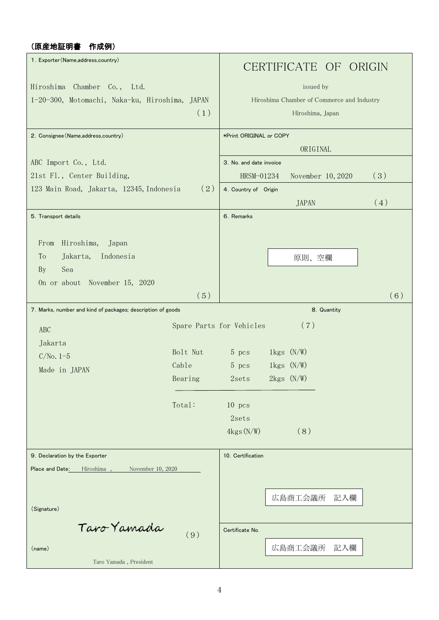# (原産地証明書 作成例)

| 1. Exporter (Name, address, country)                        |                          |                         |                        | CERTIFICATE OF ORIGIN                      |     |     |
|-------------------------------------------------------------|--------------------------|-------------------------|------------------------|--------------------------------------------|-----|-----|
| Hiroshima Chamber Co., Ltd.                                 |                          |                         |                        | issued by                                  |     |     |
| 1-20-300, Motomachi, Naka-ku, Hiroshima, JAPAN              |                          |                         |                        | Hiroshima Chamber of Commerce and Industry |     |     |
|                                                             | (1)                      |                         |                        | Hiroshima, Japan                           |     |     |
|                                                             |                          |                         |                        |                                            |     |     |
| 2. Consignee (Name, address, country)                       |                          | *Print ORIGINAL or COPY |                        |                                            |     |     |
|                                                             |                          |                         |                        | ORIGINAL                                   |     |     |
| ABC Import Co., Ltd.                                        |                          | 3. No. and date invoice |                        |                                            |     |     |
| 21st Fl., Center Building,                                  |                          | HRSM-01234              |                        | November 10, 2020                          |     | (3) |
| 123 Main Road, Jakarta, 12345, Indonesia                    | (2)                      | 4. Country of Origin    |                        |                                            |     |     |
|                                                             |                          |                         |                        | <b>JAPAN</b>                               |     | (4) |
| 5. Transport details                                        |                          | 6. Remarks              |                        |                                            |     |     |
|                                                             |                          |                         |                        |                                            |     |     |
| Hiroshima,<br>From<br>Japan                                 |                          |                         |                        |                                            |     |     |
| Jakarta,<br>Indonesia<br>To                                 |                          |                         |                        | 原則、空欄                                      |     |     |
| Sea<br><b>By</b>                                            |                          |                         |                        |                                            |     |     |
| On or about November 15, 2020                               | (5)                      |                         |                        |                                            |     | (6) |
| 7. Marks, number and kind of packages; description of goods |                          |                         |                        | 8. Quantity                                |     |     |
|                                                             |                          |                         |                        |                                            |     |     |
| <b>ABC</b>                                                  | Spare Parts for Vehicles |                         |                        | (7)                                        |     |     |
| Jakarta                                                     |                          |                         |                        |                                            |     |     |
| $C/No. 1-5$                                                 | Bolt Nut                 | 5 pcs                   | $1 \text{kgs}$ (N/W)   |                                            |     |     |
| Made in JAPAN                                               | Cable                    | 5 <sub>pos</sub>        | $1 \text{kgs}$ $(N/W)$ |                                            |     |     |
|                                                             | Bearing                  | 2sets                   |                        | $2 \text{kgs}$ $(N/W)$                     |     |     |
|                                                             | Total:                   | $10$ pcs                |                        |                                            |     |     |
|                                                             |                          | 2sets                   |                        |                                            |     |     |
|                                                             |                          | $4 \text{kgs}$ (N/W)    |                        | (8)                                        |     |     |
| 9. Declaration by the Exporter                              |                          | 10. Certification       |                        |                                            |     |     |
| Place and Date:<br>Hiroshima,<br>November 10, 2020          |                          |                         |                        |                                            |     |     |
|                                                             |                          |                         |                        |                                            |     |     |
|                                                             |                          |                         |                        | 広島商工会議所                                    | 記入欄 |     |
| (Signature)                                                 |                          |                         |                        |                                            |     |     |
| Taro Yamada                                                 |                          |                         |                        |                                            |     |     |
|                                                             |                          |                         |                        |                                            |     |     |
|                                                             | (9)                      | Certificate No.         |                        |                                            |     |     |
| (name)                                                      |                          |                         |                        | 広島商工会議所                                    | 記入欄 |     |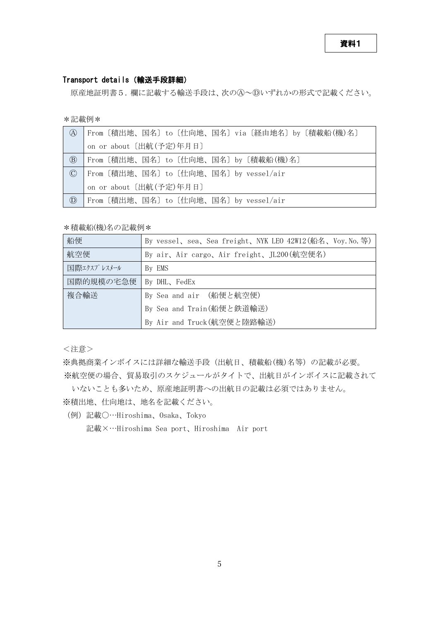## Transport details(輸送手段詳細)

原産地証明書5.欄に記載する輸送手段は、次のA~Dいずれかの形式で記載ください。

\*記載例\*

| (A)                                 | From〔積出地、国名〕to〔仕向地、国名〕via〔経由地名〕by〔積載船(機)名〕 |
|-------------------------------------|--------------------------------------------|
|                                     | on or about [出航(予定)年月日]                    |
| $\circledR$                         | From〔積出地、国名〕to〔仕向地、国名〕by〔積載船(機)名〕          |
| $\circled{c}$                       | From〔積出地、国名〕to〔仕向地、国名〕by vessel/air        |
|                                     | on or about [出航(予定)年月日]                    |
| $^{\textcircled{\footnotesize{D}}}$ | From 〔積出地、国名〕to 〔仕向地、国名〕by vessel/air      |

\*積載船(機)名の記載例\*

| 船便          | By vessel, sea, Sea freight, NYK LEO 42W12(船名, Voy. No. 等) |
|-------------|------------------------------------------------------------|
| 航空便         | By air、Air cargo、Air freight、JL200(航空便名)                   |
| 国際エクスプレスメール | By EMS                                                     |
| 国際的規模の宅急便   | By DHL, FedEx                                              |
| 複合輸送        | By Sea and air (船便と航空便)                                    |
|             | By Sea and Train(船便と鉄道輸送)                                  |
|             | By Air and Truck (航空便と陸路輸送)                                |

<注意>

※典拠商業インボイスには詳細な輸送手段(出航日、積載船(機)名等)の記載が必要。

※航空便の場合、貿易取引のスケジュールがタイトで、出航日がインボイスに記載されて いないことも多いため、原産地証明書への出航日の記載は必須ではありません。

- ※積出地、仕向地は、地名を記載ください。
- (例)記載〇…Hiroshima、Osaka、Tokyo 記載×…Hiroshima Sea port、Hiroshima Air port